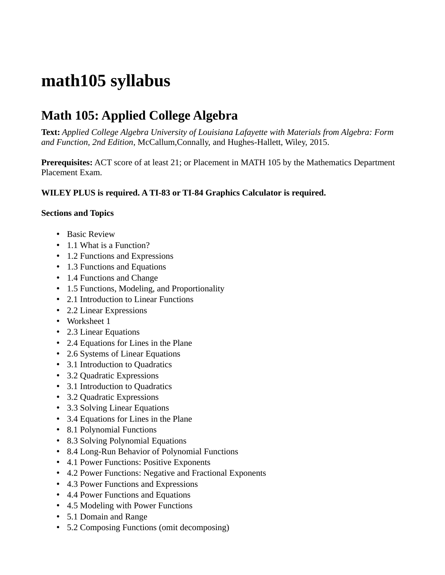## **math105 syllabus**

## **Math 105: Applied College Algebra**

**Text:** *Applied College Algebra University of Louisiana Lafayette with Materials from Algebra: Form and Function, 2nd Edition*, McCallum,Connally, and Hughes-Hallett, Wiley, 2015.

**Prerequisites:** ACT score of at least 21; or Placement in MATH 105 by the Mathematics Department Placement Exam.

## **WILEY PLUS is required. A TI-83 or TI-84 Graphics Calculator is required.**

## **Sections and Topics**

- Basic Review
- 1.1 What is a Function?
- 1.2 Functions and Expressions
- 1.3 Functions and Equations
- 1.4 Functions and Change
- 1.5 Functions, Modeling, and Proportionality
- 2.1 Introduction to Linear Functions
- 2.2 Linear Expressions
- Worksheet 1
- 2.3 Linear Equations
- 2.4 Equations for Lines in the Plane
- 2.6 Systems of Linear Equations
- 3.1 Introduction to Quadratics
- 3.2 Quadratic Expressions
- 3.1 Introduction to Quadratics
- 3.2 Quadratic Expressions
- 3.3 Solving Linear Equations
- 3.4 Equations for Lines in the Plane
- 8.1 Polynomial Functions
- 8.3 Solving Polynomial Equations
- 8.4 Long-Run Behavior of Polynomial Functions
- 4.1 Power Functions: Positive Exponents
- 4.2 Power Functions: Negative and Fractional Exponents
- 4.3 Power Functions and Expressions
- 4.4 Power Functions and Equations
- 4.5 Modeling with Power Functions
- 5.1 Domain and Range
- 5.2 Composing Functions (omit decomposing)